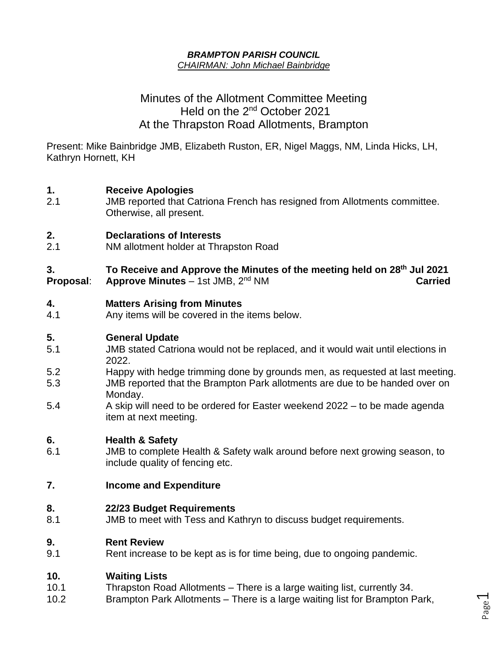#### *BRAMPTON PARISH COUNCIL CHAIRMAN: John Michael Bainbridge*

# Minutes of the Allotment Committee Meeting Held on the 2<sup>nd</sup> October 2021 At the Thrapston Road Allotments, Brampton

Present: Mike Bainbridge JMB, Elizabeth Ruston, ER, Nigel Maggs, NM, Linda Hicks, LH, Kathryn Hornett, KH

# **1. Receive Apologies**

2.1 JMB reported that Catriona French has resigned from Allotments committee. Otherwise, all present.

## **2. Declarations of Interests**

2.1 NM allotment holder at Thrapston Road

**3. To Receive and Approve the Minutes of the meeting held on 28 th Jul 2021 Proposal**: **Approve Minutes** – 1st JMB, 2 **Carried** 

#### **4. Matters Arising from Minutes**

4.1 Any items will be covered in the items below.

## **5. General Update**

- 5.1 JMB stated Catriona would not be replaced, and it would wait until elections in 2022.
- 5.2 Happy with hedge trimming done by grounds men, as requested at last meeting. 5.3 JMB reported that the Brampton Park allotments are due to be handed over on Monday.
- 5.4 A skip will need to be ordered for Easter weekend 2022 to be made agenda item at next meeting.

## **6. Health & Safety**

6.1 JMB to complete Health & Safety walk around before next growing season, to include quality of fencing etc.

## **7. Income and Expenditure**

#### **8. 22/23 Budget Requirements**

8.1 JMB to meet with Tess and Kathryn to discuss budget requirements.

#### **9. Rent Review**

9.1 Rent increase to be kept as is for time being, due to ongoing pandemic.

#### **10. Waiting Lists**

- 10.1 Thrapston Road Allotments There is a large waiting list, currently 34.
- 10.2 Brampton Park Allotments There is a large waiting list for Brampton Park,